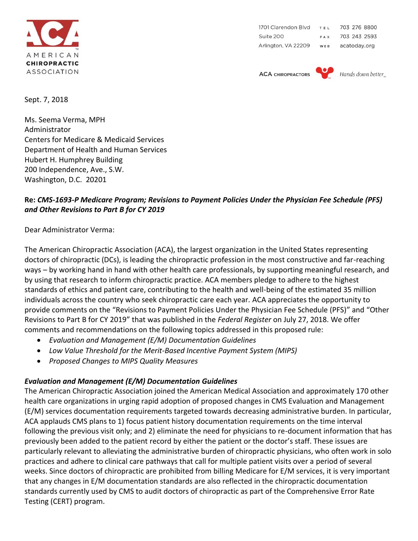

1701 Clarendon Blvd TEL 703 276 8800 Suite 200 703 243 2593 FAX Arlington, VA 22209 WEB acatoday.org

**ACA CHIROPRACTORS** 



Hands down better

Sept. 7, 2018

Ms. Seema Verma, MPH Administrator Centers for Medicare & Medicaid Services Department of Health and Human Services Hubert H. Humphrey Building 200 Independence, Ave., S.W. Washington, D.C. 20201

## **Re:** *CMS-1693-P Medicare Program; Revisions to Payment Policies Under the Physician Fee Schedule (PFS) and Other Revisions to Part B for CY 2019*

Dear Administrator Verma:

The American Chiropractic Association (ACA), the largest organization in the United States representing doctors of chiropractic (DCs), is leading the chiropractic profession in the most constructive and far-reaching ways – by working hand in hand with other health care professionals, by supporting meaningful research, and by using that research to inform chiropractic practice. ACA members pledge to adhere to the highest standards of ethics and patient care, contributing to the health and well-being of the estimated 35 million individuals across the country who seek chiropractic care each year. ACA appreciates the opportunity to provide comments on the "Revisions to Payment Policies Under the Physician Fee Schedule (PFS)" and "Other Revisions to Part B for CY 2019" that was published in the *Federal Register* on July 27, 2018. We offer comments and recommendations on the following topics addressed in this proposed rule:

- *Evaluation and Management (E/M) Documentation Guidelines*
- *Low Value Threshold for the Merit-Based Incentive Payment System (MIPS)*
- *Proposed Changes to MIPS Quality Measures*

## *Evaluation and Management (E/M) Documentation Guidelines*

The American Chiropractic Association joined the American Medical Association and approximately 170 other health care organizations in urging rapid adoption of proposed changes in CMS Evaluation and Management (E/M) services documentation requirements targeted towards decreasing administrative burden. In particular, ACA applauds CMS plans to 1) focus patient history documentation requirements on the time interval following the previous visit only; and 2) eliminate the need for physicians to re-document information that has previously been added to the patient record by either the patient or the doctor's staff. These issues are particularly relevant to alleviating the administrative burden of chiropractic physicians, who often work in solo practices and adhere to clinical care pathways that call for multiple patient visits over a period of several weeks. Since doctors of chiropractic are prohibited from billing Medicare for E/M services, it is very important that any changes in E/M documentation standards are also reflected in the chiropractic documentation standards currently used by CMS to audit doctors of chiropractic as part of the Comprehensive Error Rate Testing (CERT) program.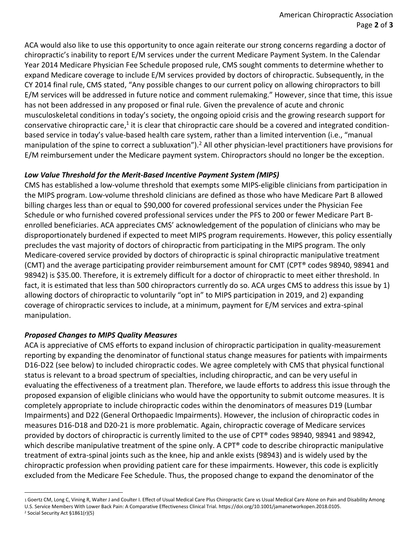ACA would also like to use this opportunity to once again reiterate our strong concerns regarding a doctor of chiropractic's inability to report E/M services under the current Medicare Payment System. In the Calendar Year 2014 Medicare Physician Fee Schedule proposed rule, CMS sought comments to determine whether to expand Medicare coverage to include E/M services provided by doctors of chiropractic. Subsequently, in the CY 2014 final rule, CMS stated, "Any possible changes to our current policy on allowing chiropractors to bill E/M services will be addressed in future notice and comment rulemaking." However, since that time, this issue has not been addressed in any proposed or final rule. Given the prevalence of acute and chronic musculoskeletal conditions in today's society, the ongoing opioid crisis and the growing research support for conservative chiropractic care,<sup>1</sup> it is clear that chiropractic care should be a covered and integrated conditionbased service in today's value-based health care system, rather than a limited intervention (i.e., "manual manipulation of the spine to correct a subluxation").<sup>2</sup> All other physician-level practitioners have provisions for E/M reimbursement under the Medicare payment system. Chiropractors should no longer be the exception.

## *Low Value Threshold for the Merit-Based Incentive Payment System (MIPS)*

CMS has established a low‐volume threshold that exempts some MIPS-eligible clinicians from participation in the MIPS program. Low‐volume threshold clinicians are defined as those who have Medicare Part B allowed billing charges less than or equal to \$90,000 for covered professional services under the Physician Fee Schedule or who furnished covered professional services under the PFS to 200 or fewer Medicare Part Benrolled beneficiaries. ACA appreciates CMS' acknowledgement of the population of clinicians who may be disproportionately burdened if expected to meet MIPS program requirements. However, this policy essentially precludes the vast majority of doctors of chiropractic from participating in the MIPS program. The only Medicare-covered service provided by doctors of chiropractic is spinal chiropractic manipulative treatment (CMT) and the average participating provider reimbursement amount for CMT (CPT® codes 98940, 98941 and 98942) is \$35.00. Therefore, it is extremely difficult for a doctor of chiropractic to meet either threshold. In fact, it is estimated that less than 500 chiropractors currently do so. ACA urges CMS to address this issue by 1) allowing doctors of chiropractic to voluntarily "opt in" to MIPS participation in 2019, and 2) expanding coverage of chiropractic services to include, at a minimum, payment for E/M services and extra-spinal manipulation.

## *Proposed Changes to MIPS Quality Measures*

.

ACA is appreciative of CMS efforts to expand inclusion of chiropractic participation in quality-measurement reporting by expanding the denominator of functional status change measures for patients with impairments D16-D22 (see below) to included chiropractic codes. We agree completely with CMS that physical functional status is relevant to a broad spectrum of specialties, including chiropractic, and can be very useful in evaluating the effectiveness of a treatment plan. Therefore, we laude efforts to address this issue through the proposed expansion of eligible clinicians who would have the opportunity to submit outcome measures. It is completely appropriate to include chiropractic codes within the denominators of measures D19 (Lumbar Impairments) and D22 (General Orthopaedic Impairments). However, the inclusion of chiropractic codes in measures D16-D18 and D20-21 is more problematic. Again, chiropractic coverage of Medicare services provided by doctors of chiropractic is currently limited to the use of CPT® codes 98940, 98941 and 98942, which describe manipulative treatment of the spine only. A CPT® code to describe chiropractic manipulative treatment of extra-spinal joints such as the knee, hip and ankle exists (98943) and is widely used by the chiropractic profession when providing patient care for these impairments. However, this code is explicitly excluded from the Medicare Fee Schedule. Thus, the proposed change to expand the denominator of the

<sup>1</sup> Goertz CM, Long C, Vining R, Walter J and Coulter I. Effect of Usual Medical Care Plus Chiropractic Care vs Usual Medical Care Alone on Pain and Disability Among U.S. Service Members With Lower Back Pain: A Comparative Effectiveness Clinical Trial. https://doi.org/10.1001/jamanetworkopen.2018.0105. 2 Social Security Act §1861(r)(5)